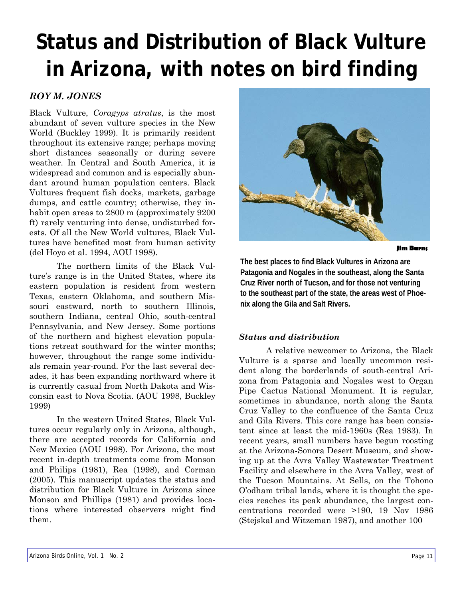# **Status and Distribution of Black Vulture in Arizona, with notes on bird finding**

# *ROY M. JONES*

Black Vulture, *Coragyps atratus*, is the most abundant of seven vulture species in the New World (Buckley 1999). It is primarily resident throughout its extensive range; perhaps moving short distances seasonally or during severe weather. In Central and South America, it is widespread and common and is especially abundant around human population centers. Black Vultures frequent fish docks, markets, garbage dumps, and cattle country; otherwise, they inhabit open areas to 2800 m (approximately 9200 ft) rarely venturing into dense, undisturbed forests. Of all the New World vultures, Black Vultures have benefited most from human activity (del Hoyo et al. 1994, AOU 1998).

 The northern limits of the Black Vulture's range is in the United States, where its eastern population is resident from western Texas, eastern Oklahoma, and southern Missouri eastward, north to southern Illinois, southern Indiana, central Ohio, south-central Pennsylvania, and New Jersey. Some portions of the northern and highest elevation populations retreat southward for the winter months; however, throughout the range some individuals remain year-round. For the last several decades, it has been expanding northward where it is currently casual from North Dakota and Wisconsin east to Nova Scotia. (AOU 1998, Buckley 1999)

 In the western United States, Black Vultures occur regularly only in Arizona, although, there are accepted records for California and New Mexico (AOU 1998). For Arizona, the most recent in-depth treatments come from Monson and Philips (1981), Rea (1998), and Corman (2005). This manuscript updates the status and distribution for Black Vulture in Arizona since Monson and Phillips (1981) and provides locations where interested observers might find them.



**Jim Burns**

**The best places to find Black Vultures in Arizona are Patagonia and Nogales in the southeast, along the Santa Cruz River north of Tucson, and for those not venturing to the southeast part of the state, the areas west of Phoenix along the Gila and Salt Rivers.**

## *Status and distribution*

 A relative newcomer to Arizona, the Black Vulture is a sparse and locally uncommon resident along the borderlands of south-central Arizona from Patagonia and Nogales west to Organ Pipe Cactus National Monument. It is regular, sometimes in abundance, north along the Santa Cruz Valley to the confluence of the Santa Cruz and Gila Rivers. This core range has been consistent since at least the mid-1960s (Rea 1983). In recent years, small numbers have begun roosting at the Arizona-Sonora Desert Museum, and showing up at the Avra Valley Wastewater Treatment Facility and elsewhere in the Avra Valley, west of the Tucson Mountains. At Sells, on the Tohono O'odham tribal lands, where it is thought the species reaches its peak abundance, the largest concentrations recorded were >190, 19 Nov 1986 (Stejskal and Witzeman 1987), and another 100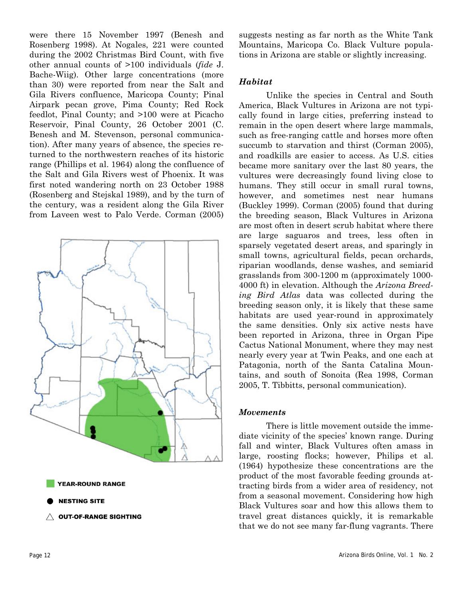were there 15 November 1997 (Benesh and Rosenberg 1998). At Nogales, 221 were counted during the 2002 Christmas Bird Count, with five other annual counts of >100 individuals (*fide* J. Bache-Wiig). Other large concentrations (more than 30) were reported from near the Salt and Gila Rivers confluence, Maricopa County; Pinal Airpark pecan grove, Pima County; Red Rock feedlot, Pinal County; and >100 were at Picacho Reservoir, Pinal County, 26 October 2001 (C. Benesh and M. Stevenson, personal communication). After many years of absence, the species returned to the northwestern reaches of its historic range (Phillips et al. 1964) along the confluence of the Salt and Gila Rivers west of Phoenix. It was first noted wandering north on 23 October 1988 (Rosenberg and Stejskal 1989), and by the turn of the century, was a resident along the Gila River from Laveen west to Palo Verde. Corman (2005)



 $\wedge$  OUT-OF-RANGE SIGHTING

suggests nesting as far north as the White Tank Mountains, Maricopa Co. Black Vulture populations in Arizona are stable or slightly increasing.

### *Habitat*

 Unlike the species in Central and South America, Black Vultures in Arizona are not typically found in large cities, preferring instead to remain in the open desert where large mammals, such as free-ranging cattle and horses more often succumb to starvation and thirst (Corman 2005), and roadkills are easier to access. As U.S. cities became more sanitary over the last 80 years, the vultures were decreasingly found living close to humans. They still occur in small rural towns, however, and sometimes nest near humans (Buckley 1999). Corman (2005) found that during the breeding season, Black Vultures in Arizona are most often in desert scrub habitat where there are large saguaros and trees, less often in sparsely vegetated desert areas, and sparingly in small towns, agricultural fields, pecan orchards, riparian woodlands, dense washes, and semiarid grasslands from 300-1200 m (approximately 1000- 4000 ft) in elevation. Although the *Arizona Breeding Bird Atlas* data was collected during the breeding season only, it is likely that these same habitats are used year-round in approximately the same densities. Only six active nests have been reported in Arizona, three in Organ Pipe Cactus National Monument, where they may nest nearly every year at Twin Peaks, and one each at Patagonia, north of the Santa Catalina Mountains, and south of Sonoita (Rea 1998, Corman 2005, T. Tibbitts, personal communication).

#### *Movements*

 There is little movement outside the immediate vicinity of the species' known range. During fall and winter, Black Vultures often amass in large, roosting flocks; however, Philips et al. (1964) hypothesize these concentrations are the product of the most favorable feeding grounds attracting birds from a wider area of residency, not from a seasonal movement. Considering how high Black Vultures soar and how this allows them to travel great distances quickly, it is remarkable that we do not see many far-flung vagrants. There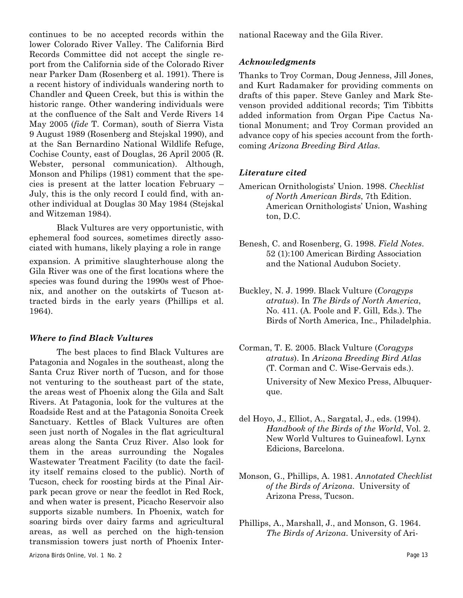continues to be no accepted records within the lower Colorado River Valley. The California Bird Records Committee did not accept the single report from the California side of the Colorado River near Parker Dam (Rosenberg et al. 1991). There is a recent history of individuals wandering north to Chandler and Queen Creek, but this is within the historic range. Other wandering individuals were at the confluence of the Salt and Verde Rivers 14 May 2005 (*fide* T. Corman), south of Sierra Vista 9 August 1989 (Rosenberg and Stejskal 1990), and at the San Bernardino National Wildlife Refuge, Cochise County, east of Douglas, 26 April 2005 (R. Webster, personal communication). Although, Monson and Philips (1981) comment that the species is present at the latter location February – July, this is the only record I could find, with another individual at Douglas 30 May 1984 (Stejskal and Witzeman 1984).

 Black Vultures are very opportunistic, with ephemeral food sources, sometimes directly associated with humans, likely playing a role in range

expansion. A primitive slaughterhouse along the Gila River was one of the first locations where the species was found during the 1990s west of Phoenix, and another on the outskirts of Tucson attracted birds in the early years (Phillips et al. 1964).

#### *Where to find Black Vultures*

 The best places to find Black Vultures are Patagonia and Nogales in the southeast, along the Santa Cruz River north of Tucson, and for those not venturing to the southeast part of the state, the areas west of Phoenix along the Gila and Salt Rivers. At Patagonia, look for the vultures at the Roadside Rest and at the Patagonia Sonoita Creek Sanctuary. Kettles of Black Vultures are often seen just north of Nogales in the flat agricultural areas along the Santa Cruz River. Also look for them in the areas surrounding the Nogales Wastewater Treatment Facility (to date the facility itself remains closed to the public). North of Tucson, check for roosting birds at the Pinal Airpark pecan grove or near the feedlot in Red Rock, and when water is present, Picacho Reservoir also supports sizable numbers. In Phoenix, watch for soaring birds over dairy farms and agricultural areas, as well as perched on the high-tension transmission towers just north of Phoenix International Raceway and the Gila River.

#### *Acknowledgments*

Thanks to Troy Corman, Doug Jenness, Jill Jones, and Kurt Radamaker for providing comments on drafts of this paper. Steve Ganley and Mark Stevenson provided additional records; Tim Tibbitts added information from Organ Pipe Cactus National Monument; and Troy Corman provided an advance copy of his species account from the forthcoming *Arizona Breeding Bird Atlas*.

#### *Literature cited*

American Ornithologists' Union. 1998. *Checklist of North American Birds*, 7th Edition. American Ornithologists' Union, Washing ton, D.C.

- Benesh, C. and Rosenberg, G. 1998. *Field Notes*. 52 (1):100 American Birding Association and the National Audubon Society.
- Buckley, N. J. 1999. Black Vulture (*Coragyps atratus*). In *The Birds of North America*, No. 411. (A. Poole and F. Gill, Eds.). The Birds of North America, Inc., Philadelphia.
- Corman, T. E. 2005. Black Vulture (*Coragyps atratus*). In *Arizona Breeding Bird Atlas* (T. Corman and C. Wise-Gervais eds.). University of New Mexico Press, Albuquer que.
- del Hoyo, J., Elliot, A., Sargatal, J., eds. (1994). *Handbook of the Birds of the World*, Vol. 2. New World Vultures to Guineafowl. Lynx Edicions, Barcelona.
- Monson, G., Phillips, A. 1981. *Annotated Checklist of the Birds of Arizona*. University of Arizona Press, Tucson.
- Phillips, A., Marshall, J., and Monson, G. 1964. *The Birds of Arizona*. University of Ari-